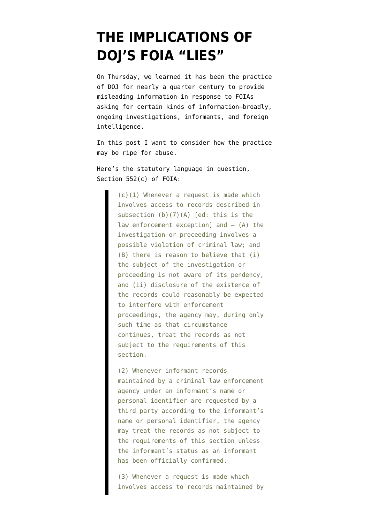## **[THE IMPLICATIONS OF](https://www.emptywheel.net/2011/11/05/the-implications-of-dojs-foia-lies/) [DOJ'S FOIA "LIES"](https://www.emptywheel.net/2011/11/05/the-implications-of-dojs-foia-lies/)**

On Thursday, [we learned](http://www.emptywheel.net/2011/11/04/doj-admits-it-has-been-lying-for-24-years-journalists-applaud/) it has been the practice of DOJ for nearly a quarter century to provide misleading information in response to FOIAs asking for certain kinds of information–broadly, ongoing investigations, informants, and foreign intelligence.

In this post I want to consider how the practice may be ripe for abuse.

Here's the [statutory language](http://codes.lp.findlaw.com/uscode/5/I/5/II/552) in question, Section 552(c) of FOIA:

> (c)(1) Whenever a request is made which involves access to records described in subsection (b)(7)(A) [ed: this is the law enforcement exception] and  $-$  (A) the investigation or proceeding involves a possible violation of criminal law; and (B) there is reason to believe that (i) the subject of the investigation or proceeding is not aware of its pendency, and (ii) disclosure of the existence of the records could reasonably be expected to interfere with enforcement proceedings, the agency may, during only such time as that circumstance continues, treat the records as not subject to the requirements of this section.

> (2) Whenever informant records maintained by a criminal law enforcement agency under an informant's name or personal identifier are requested by a third party according to the informant's name or personal identifier, the agency may treat the records as not subject to the requirements of this section unless the informant's status as an informant has been officially confirmed.

> (3) Whenever a request is made which involves access to records maintained by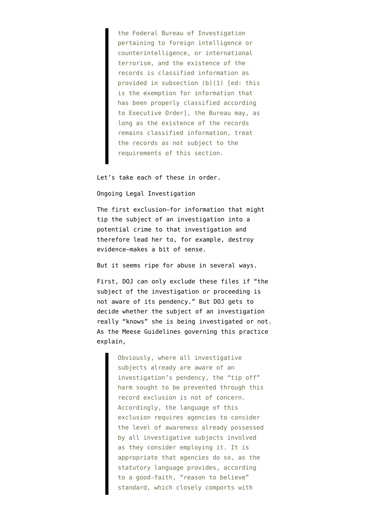the Federal Bureau of Investigation pertaining to foreign intelligence or counterintelligence, or international terrorism, and the existence of the records is classified information as provided in subsection (b)(1) [ed: this is the exemption for information that has been properly classified according to Executive Order], the Bureau may, as long as the existence of the records remains classified information, treat the records as not subject to the requirements of this section.

Let's take each of these in order.

Ongoing Legal Investigation

The first exclusion–for information that might tip the subject of an investigation into a potential crime to that investigation and therefore lead her to, for example, destroy evidence–makes a bit of sense.

But it seems ripe for abuse in several ways.

First, DOJ can only exclude these files if "the subject of the investigation or proceeding is not aware of its pendency." But DOJ gets to decide whether the subject of an investigation really "knows" she is being investigated or not. As the Meese Guidelines governing this practice [explain,](http://www.justice.gov/oip/86agmemo.htm#%28c%29%281%29)

> Obviously, where all investigative subjects already are aware of an investigation's pendency, the "tip off" harm sought to be prevented through this record exclusion is not of concern. Accordingly, the language of this exclusion requires agencies to consider the level of awareness already possessed by all investigative subjects involved as they consider employing it. It is appropriate that agencies do so, as the statutory language provides, according to a good-faith, "reason to believe" standard, which closely comports with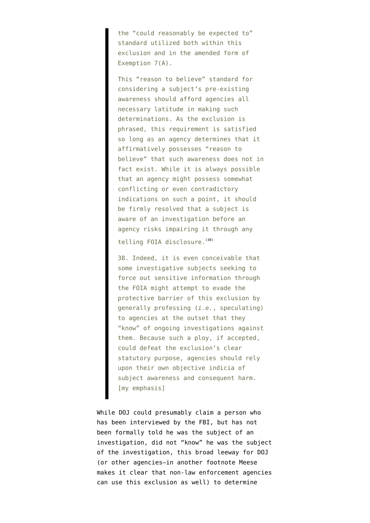the "could reasonably be expected to" standard utilized both within this exclusion and in the amended form of Exemption 7(A).

This "reason to believe" standard for considering a subject's pre-existing awareness should afford agencies all necessary latitude in making such determinations. As the exclusion is phrased, this requirement is satisfied so long as an agency determines that it affirmatively possesses "reason to believe" that such awareness does not in fact exist. While it is always possible that an agency might possess somewhat conflicting or even contradictory indications on such a point, it should be firmly resolved that a subject is aware of an investigation before an agency risks impairing it through any

telling FOIA disclosure. [\(38\)](http://www.justice.gov/oip/86agmemo.htm#N_38_)

38. Indeed, it is even conceivable that some investigative subjects seeking to force out sensitive information through the FOIA might attempt to evade the protective barrier of this exclusion by generally professing (*i.e.*, speculating) to agencies at the outset that they "know" of ongoing investigations against them. Because such a ploy, if accepted, could defeat the exclusion's clear statutory purpose, agencies should rely upon their own objective indicia of subject awareness and consequent harm. [my emphasis]

While DOJ could presumably claim a person who has been interviewed by the FBI, but has not been formally told he was the subject of an investigation, did not "know" he was the subject of the investigation, this broad leeway for DOJ (or other agencies–in another footnote Meese makes it clear that non-law enforcement agencies can use this exclusion as well) to determine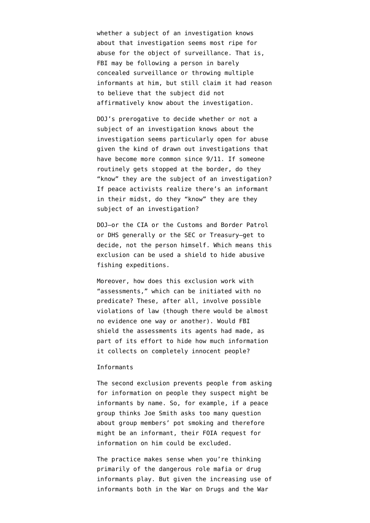whether a subject of an investigation knows about that investigation seems most ripe for abuse for the object of surveillance. That is, FBI may be following a person in barely concealed surveillance or throwing multiple informants at him, but still claim it had reason to believe that the subject did not affirmatively know about the investigation.

DOJ's prerogative to decide whether or not a subject of an investigation knows about the investigation seems particularly open for abuse given the kind of drawn out investigations that have become more common since 9/11. If someone routinely gets stopped at the border, do they "know" they are the subject of an investigation? If peace activists realize there's an informant in their midst, do they "know" they are they subject of an investigation?

DOJ–or the CIA or the Customs and Border Patrol or DHS generally or the SEC or Treasury–get to decide, not the person himself. Which means this exclusion can be used a shield to hide abusive fishing expeditions.

Moreover, how does this exclusion work with "assessments," [which can be](https://www.eff.org/deeplinks/2009/09/prompted-eff-lawsuit-fbi-partially-releases-domest) initiated with no predicate? These, after all, involve possible violations of law (though there would be almost no evidence one way or another). Would FBI shield the assessments its agents had made, as part of its effort to hide how much information it collects on completely innocent people?

## Informants

The second exclusion prevents people from asking for information on people they suspect might be informants by name. So, for example, if a peace group thinks Joe Smith asks too many question about group members' pot smoking and therefore might be an informant, their FOIA request for information on him could be excluded.

The practice makes sense when you're thinking primarily of the dangerous role mafia or drug informants play. But given the increasing use of informants both in the War on Drugs and the War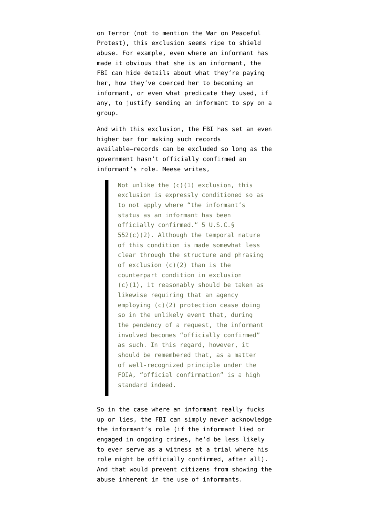on Terror (not to mention the War on Peaceful Protest), this exclusion seems ripe to shield abuse. For example, even where an informant has made it obvious that she is an informant, the FBI can hide details about what they're paying her, how they've coerced her to becoming an informant, or even what predicate they used, if any, to justify sending an informant to spy on a group.

And with this exclusion, the FBI has set an even higher bar for making such records available–records can be excluded so long as the government hasn't officially confirmed an informant's role. Meese [writes,](http://www.justice.gov/oip/86agmemo.htm#%28c%29%282%29)

> Not unlike the  $(c)(1)$  exclusion, this exclusion is expressly conditioned so as to not apply where "the informant's status as an informant has been officially confirmed." 5 U.S.C.§ 552(c)(2). Although the temporal nature of this condition is made somewhat less clear through the structure and phrasing of exclusion (c)(2) than is the counterpart condition in exclusion (c)(1), it reasonably should be taken as likewise requiring that an agency employing (c)(2) protection cease doing so in the unlikely event that, during the pendency of a request, the informant involved becomes "officially confirmed" as such. In this regard, however, it should be remembered that, as a matter of well-recognized principle under the FOIA, "official confirmation" is a high standard indeed.

So in the case where an informant really fucks up or lies, the FBI can simply never acknowledge the informant's role (if the informant lied or engaged in ongoing crimes, he'd be less likely to ever serve as a witness at a trial where his role might be officially confirmed, after all). And that would prevent citizens from showing the abuse inherent in the use of informants.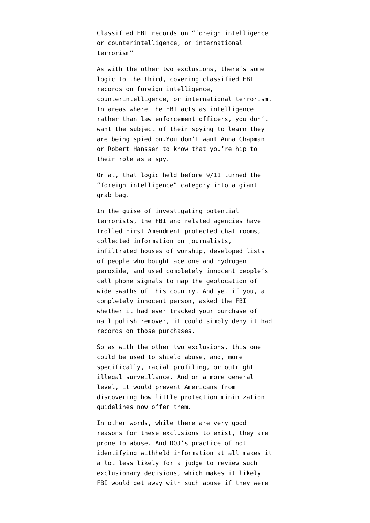Classified FBI records on "foreign intelligence or counterintelligence, or international terrorism"

As with the other two exclusions, there's some logic to the third, covering classified FBI records on foreign intelligence, counterintelligence, or international terrorism. In areas where the FBI acts as intelligence rather than law enforcement officers, you don't want the subject of their spying to learn they are being spied on.You don't want Anna Chapman or Robert Hanssen to know that you're hip to their role as a spy.

Or at, that logic held before 9/11 turned the "foreign intelligence" category into a giant grab bag.

In the guise of investigating potential terrorists, the FBI and related agencies have trolled First Amendment protected chat rooms, collected information on journalists, infiltrated houses of worship, developed lists of people who bought acetone and hydrogen peroxide, and used completely innocent people's cell phone signals to map the geolocation of wide swaths of this country. And yet if you, a completely innocent person, asked the FBI whether it had ever tracked your purchase of nail polish remover, it could simply deny it had records on those purchases.

So as with the other two exclusions, this one could be used to shield abuse, and, more specifically, racial profiling, or outright illegal surveillance. And on a more general level, it would prevent Americans from discovering how little protection minimization guidelines now offer them.

In other words, while there are very good reasons for these exclusions to exist, they are prone to abuse. And DOJ's practice of not identifying withheld information at all makes it a lot less likely for a judge to review such exclusionary decisions, which makes it likely FBI would get away with such abuse if they were